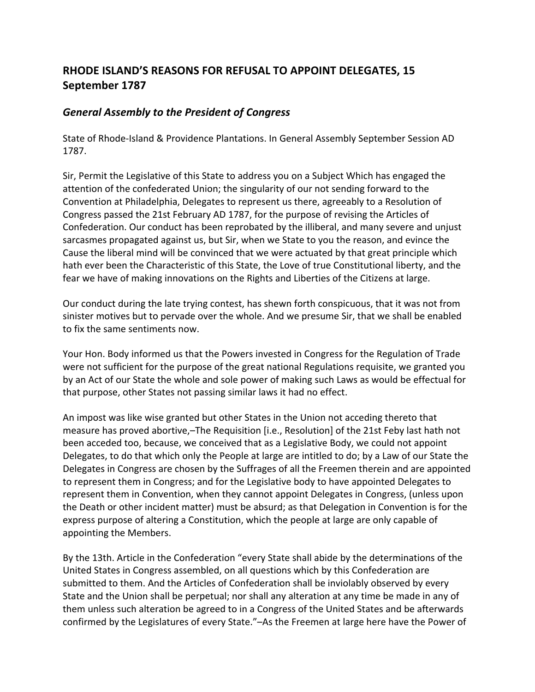## **RHODE ISLAND'S REASONS FOR REFUSAL TO APPOINT DELEGATES, 15 September&1787**

## *General'Assembly'to'the'President'of'Congress*

State of Rhode-Island & Providence Plantations. In General Assembly September Session AD 1787.

Sir, Permit the Legislative of this State to address you on a Subject Which has engaged the attention of the confederated Union; the singularity of our not sending forward to the Convention at Philadelphia, Delegates to represent us there, agreeably to a Resolution of Congress passed the 21st February AD 1787, for the purpose of revising the Articles of Confederation. Our conduct has been reprobated by the illiberal, and many severe and unjust sarcasmes propagated against us, but Sir, when we State to you the reason, and evince the Cause the liberal mind will be convinced that we were actuated by that great principle which hath ever been the Characteristic of this State, the Love of true Constitutional liberty, and the fear we have of making innovations on the Rights and Liberties of the Citizens at large.

Our conduct during the late trying contest, has shewn forth conspicuous, that it was not from sinister motives but to pervade over the whole. And we presume Sir, that we shall be enabled to fix the same sentiments now.

Your Hon. Body informed us that the Powers invested in Congress for the Regulation of Trade were not sufficient for the purpose of the great national Regulations requisite, we granted you by an Act of our State the whole and sole power of making such Laws as would be effectual for that purpose, other States not passing similar laws it had no effect.

An impost was like wise granted but other States in the Union not acceding thereto that measure has proved abortive,–The Requisition [i.e., Resolution] of the 21st Feby last hath not been acceded too, because, we conceived that as a Legislative Body, we could not appoint Delegates, to do that which only the People at large are intitled to do; by a Law of our State the Delegates in Congress are chosen by the Suffrages of all the Freemen therein and are appointed to represent them in Congress; and for the Legislative body to have appointed Delegates to represent them in Convention, when they cannot appoint Delegates in Congress, (unless upon the Death or other incident matter) must be absurd; as that Delegation in Convention is for the express purpose of altering a Constitution, which the people at large are only capable of appointing the Members.

By the 13th. Article in the Confederation "every State shall abide by the determinations of the United States in Congress assembled, on all questions which by this Confederation are submitted to them. And the Articles of Confederation shall be inviolably observed by every State and the Union shall be perpetual; nor shall any alteration at any time be made in any of them unless such alteration be agreed to in a Congress of the United States and be afterwards confirmed by the Legislatures of every State."–As the Freemen at large here have the Power of